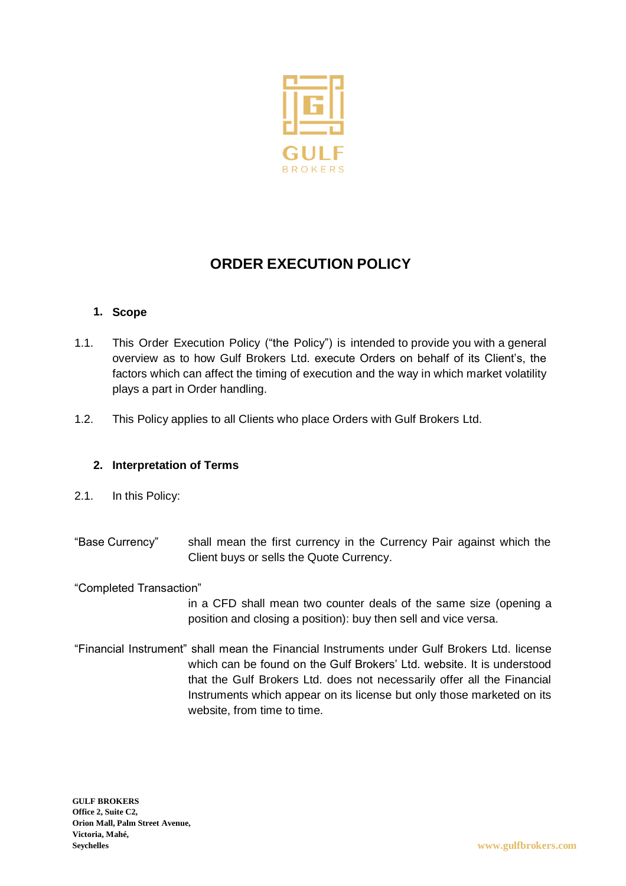

# **ORDER EXECUTION POLICY**

## **1. Scope**

- 1.1. This Order Execution Policy ("the Policy") is intended to provide you with a general overview as to how Gulf Brokers Ltd. execute Orders on behalf of its Client's, the factors which can affect the timing of execution and the way in which market volatility plays a part in Order handling.
- 1.2. This Policy applies to all Clients who place Orders with Gulf Brokers Ltd.

## **2. Interpretation of Terms**

- 2.1. In this Policy:
- "Base Currency" shall mean the first currency in the Currency Pair against which the Client buys or sells the Quote Currency.

"Completed Transaction"

in a CFD shall mean two counter deals of the same size (opening a position and closing a position): buy then sell and vice versa.

"Financial Instrument" shall mean the Financial Instruments under Gulf Brokers Ltd. license which can be found on the Gulf Brokers' Ltd. website. It is understood that the Gulf Brokers Ltd. does not necessarily offer all the Financial Instruments which appear on its license but only those marketed on its website, from time to time.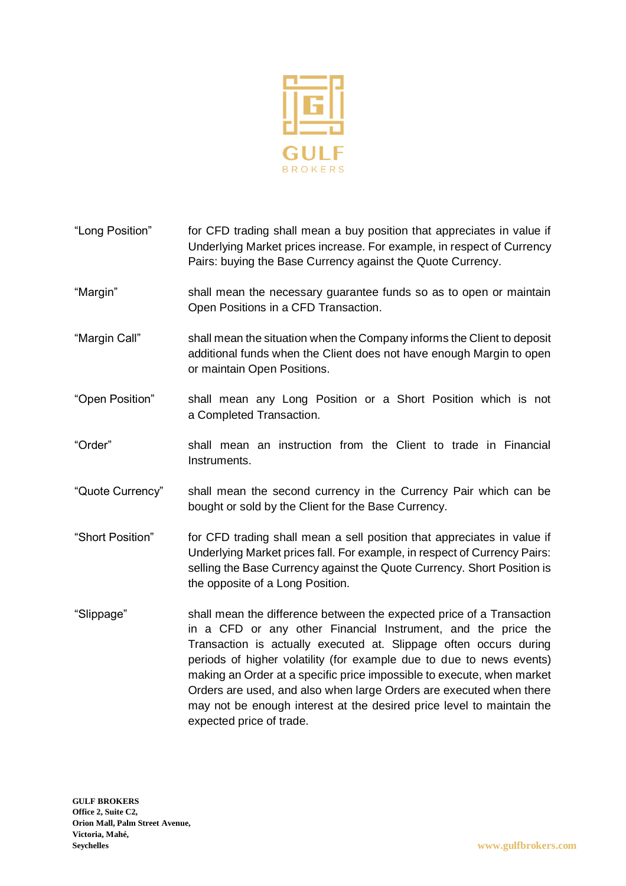

- "Long Position" for CFD trading shall mean a buy position that appreciates in value if Underlying Market prices increase. For example, in respect of Currency Pairs: buying the Base Currency against the Quote Currency. "Margin" shall mean the necessary guarantee funds so as to open or maintain Open Positions in a CFD Transaction. "Margin Call" shall mean the situation when the Company informs the Client to deposit additional funds when the Client does not have enough Margin to open or maintain Open Positions.
- "Open Position" shall mean any Long Position or a Short Position which is not a Completed Transaction.
- "Order" shall mean an instruction from the Client to trade in Financial Instruments.
- "Quote Currency" shall mean the second currency in the Currency Pair which can be bought or sold by the Client for the Base Currency.
- "Short Position" for CFD trading shall mean a sell position that appreciates in value if Underlying Market prices fall. For example, in respect of Currency Pairs: selling the Base Currency against the Quote Currency. Short Position is the opposite of a Long Position.
- "Slippage" shall mean the difference between the expected price of a Transaction in a CFD or any other Financial Instrument, and the price the Transaction is actually executed at. Slippage often occurs during periods of higher volatility (for example due to due to news events) making an Order at a specific price impossible to execute, when market Orders are used, and also when large Orders are executed when there may not be enough interest at the desired price level to maintain the expected price of trade.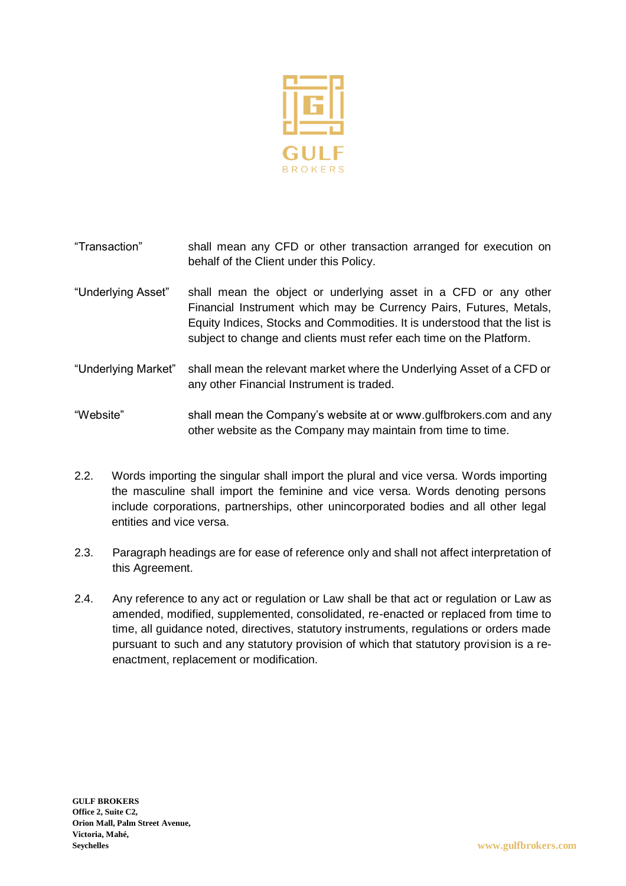

- "Transaction" shall mean any CFD or other transaction arranged for execution on behalf of the Client under this Policy.
- "Underlying Asset" shall mean the object or underlying asset in a CFD or any other Financial Instrument which may be Currency Pairs, Futures, Metals, Equity Indices, Stocks and Commodities. It is understood that the list is subject to change and clients must refer each time on the Platform.
- "Underlying Market" shall mean the relevant market where the Underlying Asset of a CFD or any other Financial Instrument is traded.

"Website" shall mean the Company's website at or www.gulfbrokers.com and any other website as the Company may maintain from time to time.

- 2.2. Words importing the singular shall import the plural and vice versa. Words importing the masculine shall import the feminine and vice versa. Words denoting persons include corporations, partnerships, other unincorporated bodies and all other legal entities and vice versa.
- 2.3. Paragraph headings are for ease of reference only and shall not affect interpretation of this Agreement.
- 2.4. Any reference to any act or regulation or Law shall be that act or regulation or Law as amended, modified, supplemented, consolidated, re-enacted or replaced from time to time, all guidance noted, directives, statutory instruments, regulations or orders made pursuant to such and any statutory provision of which that statutory provision is a reenactment, replacement or modification.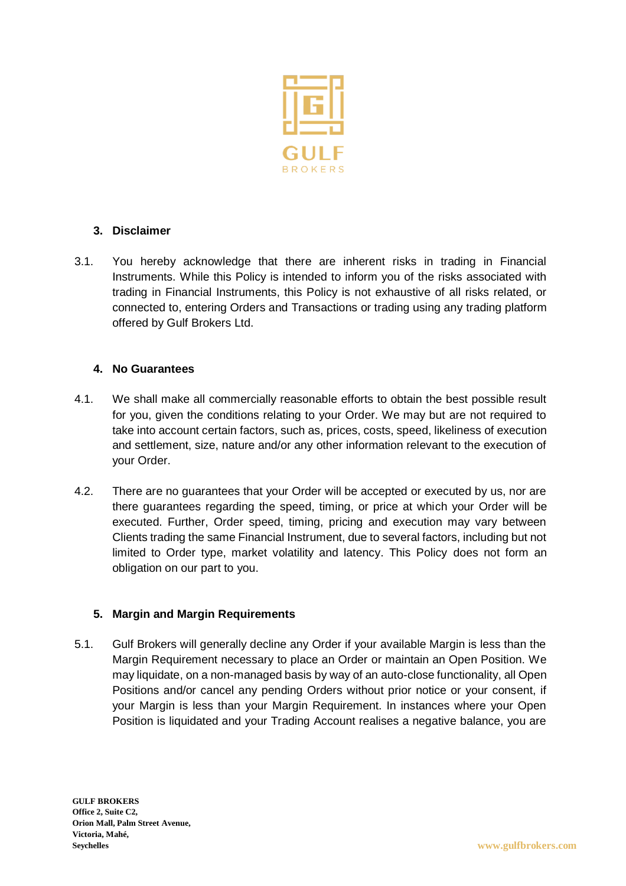

# **3. Disclaimer**

3.1. You hereby acknowledge that there are inherent risks in trading in Financial Instruments. While this Policy is intended to inform you of the risks associated with trading in Financial Instruments, this Policy is not exhaustive of all risks related, or connected to, entering Orders and Transactions or trading using any trading platform offered by Gulf Brokers Ltd.

## **4. No Guarantees**

- 4.1. We shall make all commercially reasonable efforts to obtain the best possible result for you, given the conditions relating to your Order. We may but are not required to take into account certain factors, such as, prices, costs, speed, likeliness of execution and settlement, size, nature and/or any other information relevant to the execution of your Order.
- 4.2. There are no guarantees that your Order will be accepted or executed by us, nor are there guarantees regarding the speed, timing, or price at which your Order will be executed. Further, Order speed, timing, pricing and execution may vary between Clients trading the same Financial Instrument, due to several factors, including but not limited to Order type, market volatility and latency. This Policy does not form an obligation on our part to you.

## **5. Margin and Margin Requirements**

5.1. Gulf Brokers will generally decline any Order if your available Margin is less than the Margin Requirement necessary to place an Order or maintain an Open Position. We may liquidate, on a non-managed basis by way of an auto-close functionality, all Open Positions and/or cancel any pending Orders without prior notice or your consent, if your Margin is less than your Margin Requirement. In instances where your Open Position is liquidated and your Trading Account realises a negative balance, you are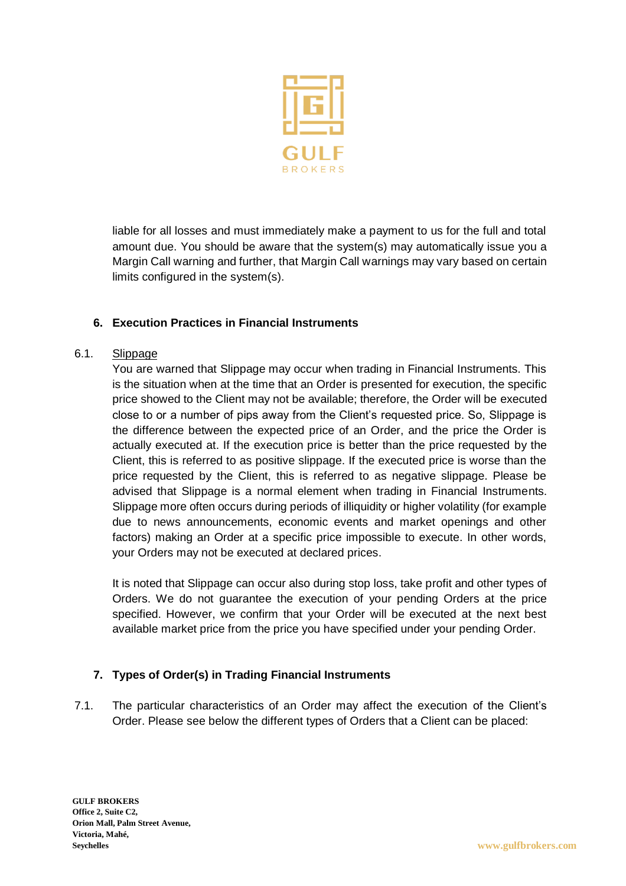

liable for all losses and must immediately make a payment to us for the full and total amount due. You should be aware that the system(s) may automatically issue you a Margin Call warning and further, that Margin Call warnings may vary based on certain limits configured in the system(s).

# **6. Execution Practices in Financial Instruments**

#### 6.1. Slippage

You are warned that Slippage may occur when trading in Financial Instruments. This is the situation when at the time that an Order is presented for execution, the specific price showed to the Client may not be available; therefore, the Order will be executed close to or a number of pips away from the Client's requested price. So, Slippage is the difference between the expected price of an Order, and the price the Order is actually executed at. If the execution price is better than the price requested by the Client, this is referred to as positive slippage. If the executed price is worse than the price requested by the Client, this is referred to as negative slippage. Please be advised that Slippage is a normal element when trading in Financial Instruments. Slippage more often occurs during periods of illiquidity or higher volatility (for example due to news announcements, economic events and market openings and other factors) making an Order at a specific price impossible to execute. In other words, your Orders may not be executed at declared prices.

It is noted that Slippage can occur also during stop loss, take profit and other types of Orders. We do not guarantee the execution of your pending Orders at the price specified. However, we confirm that your Order will be executed at the next best available market price from the price you have specified under your pending Order.

## **7. Types of Order(s) in Trading Financial Instruments**

7.1. The particular characteristics of an Order may affect the execution of the Client's Order. Please see below the different types of Orders that a Client can be placed: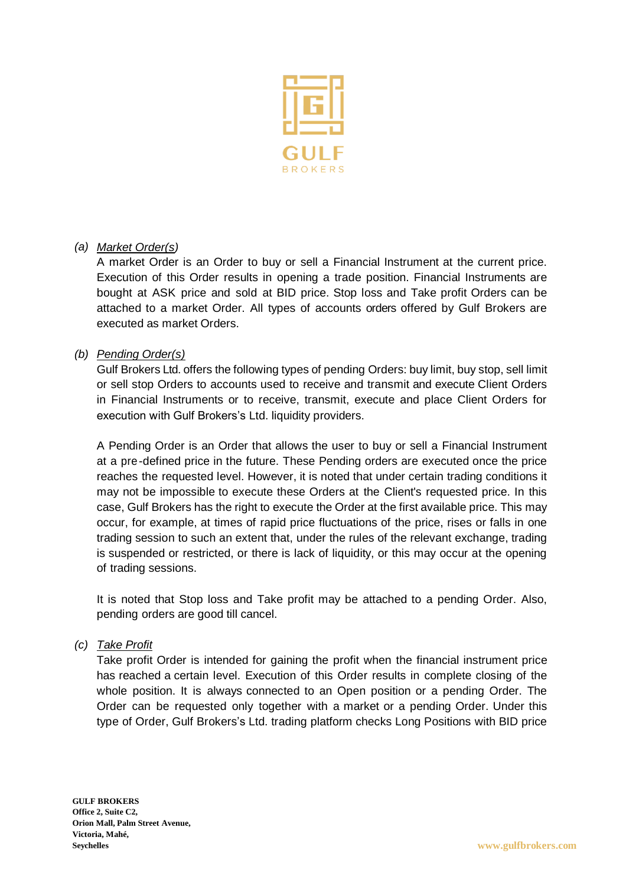

## *(a) Market Order(s)*

A market Order is an Order to buy or sell a Financial Instrument at the current price. Execution of this Order results in opening a trade position. Financial Instruments are bought at ASK price and sold at BID price. Stop loss and Take profit Orders can be attached to a market Order. All types of accounts orders offered by Gulf Brokers are executed as market Orders.

#### *(b) Pending Order(s)*

Gulf Brokers Ltd. offers the following types of pending Orders: buy limit, buy stop, sell limit or sell stop Orders to accounts used to receive and transmit and execute Client Orders in Financial Instruments or to receive, transmit, execute and place Client Orders for execution with Gulf Brokers's Ltd. liquidity providers.

A Pending Order is an Order that allows the user to buy or sell a Financial Instrument at a pre -defined price in the future. These Pending orders are executed once the price reaches the requested level. However, it is noted that under certain trading conditions it may not be impossible to execute these Orders at the Client's requested price. In this case, Gulf Brokers has the right to execute the Order at the first available price. This may occur, for example, at times of rapid price fluctuations of the price, rises or falls in one trading session to such an extent that, under the rules of the relevant exchange, trading is suspended or restricted, or there is lack of liquidity, or this may occur at the opening of trading sessions.

It is noted that Stop loss and Take profit may be attached to a pending Order. Also, pending orders are good till cancel.

## *(c) Take Profit*

Take profit Order is intended for gaining the profit when the financial instrument price has reached a certain level. Execution of this Order results in complete closing of the whole position. It is always connected to an Open position or a pending Order. The Order can be requested only together with a market or a pending Order. Under this type of Order, Gulf Brokers's Ltd. trading platform checks Long Positions with BID price